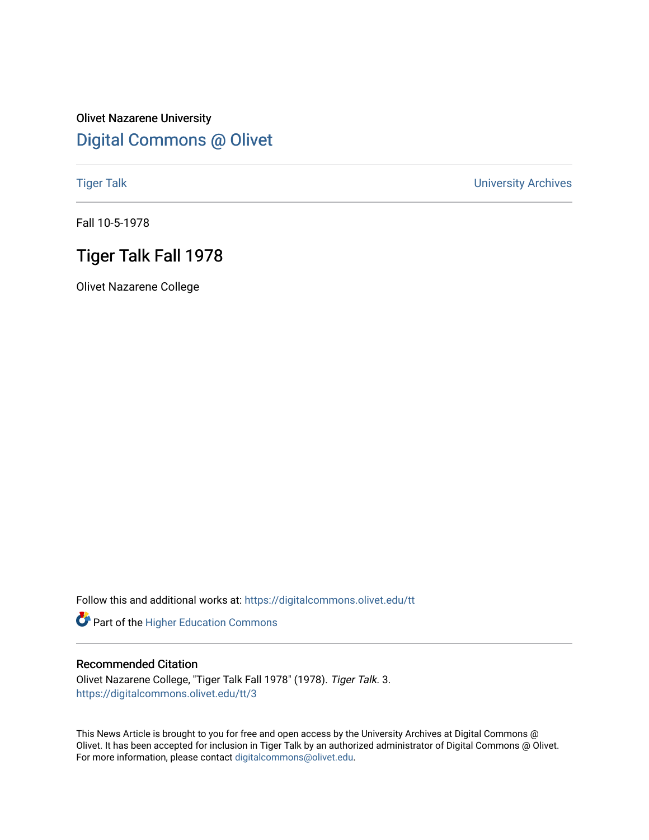## Olivet Nazarene University [Digital Commons @ Olivet](https://digitalcommons.olivet.edu/)

[Tiger Talk](https://digitalcommons.olivet.edu/tt) [University Archives](https://digitalcommons.olivet.edu/arch) 

Fall 10-5-1978

## Tiger Talk Fall 1978

Olivet Nazarene College

Follow this and additional works at: [https://digitalcommons.olivet.edu/tt](https://digitalcommons.olivet.edu/tt?utm_source=digitalcommons.olivet.edu%2Ftt%2F3&utm_medium=PDF&utm_campaign=PDFCoverPages) 

Part of the [Higher Education Commons](http://network.bepress.com/hgg/discipline/1245?utm_source=digitalcommons.olivet.edu%2Ftt%2F3&utm_medium=PDF&utm_campaign=PDFCoverPages) 

## Recommended Citation

Olivet Nazarene College, "Tiger Talk Fall 1978" (1978). Tiger Talk. 3. [https://digitalcommons.olivet.edu/tt/3](https://digitalcommons.olivet.edu/tt/3?utm_source=digitalcommons.olivet.edu%2Ftt%2F3&utm_medium=PDF&utm_campaign=PDFCoverPages)

This News Article is brought to you for free and open access by the University Archives at Digital Commons @ Olivet. It has been accepted for inclusion in Tiger Talk by an authorized administrator of Digital Commons @ Olivet. For more information, please contact [digitalcommons@olivet.edu](mailto:digitalcommons@olivet.edu).